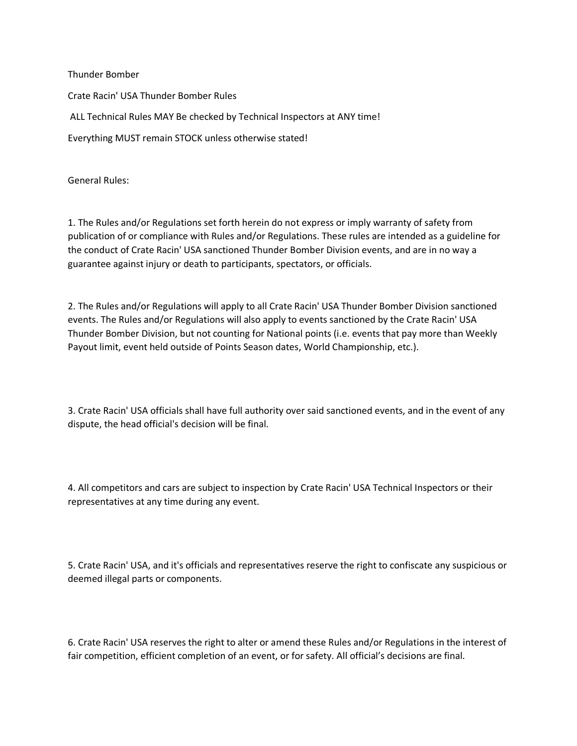Thunder Bomber Crate Racin' USA Thunder Bomber Rules ALL Technical Rules MAY Be checked by Technical Inspectors at ANY time! Everything MUST remain STOCK unless otherwise stated!

General Rules:

1. The Rules and/or Regulations set forth herein do not express or imply warranty of safety from publication of or compliance with Rules and/or Regulations. These rules are intended as a guideline for the conduct of Crate Racin' USA sanctioned Thunder Bomber Division events, and are in no way a guarantee against injury or death to participants, spectators, or officials.

2. The Rules and/or Regulations will apply to all Crate Racin' USA Thunder Bomber Division sanctioned events. The Rules and/or Regulations will also apply to events sanctioned by the Crate Racin' USA Thunder Bomber Division, but not counting for National points (i.e. events that pay more than Weekly Payout limit, event held outside of Points Season dates, World Championship, etc.).

3. Crate Racin' USA officials shall have full authority over said sanctioned events, and in the event of any dispute, the head official's decision will be final.

4. All competitors and cars are subject to inspection by Crate Racin' USA Technical Inspectors or their representatives at any time during any event.

5. Crate Racin' USA, and it's officials and representatives reserve the right to confiscate any suspicious or deemed illegal parts or components.

6. Crate Racin' USA reserves the right to alter or amend these Rules and/or Regulations in the interest of fair competition, efficient completion of an event, or for safety. All official's decisions are final.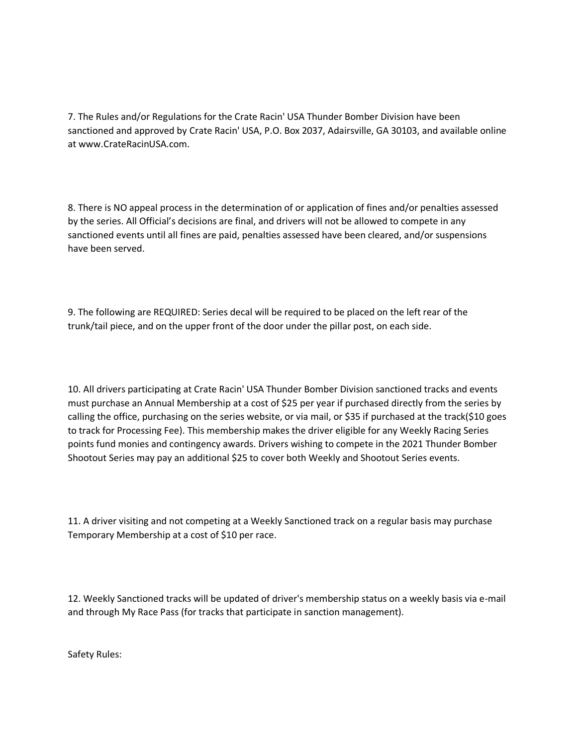7. The Rules and/or Regulations for the Crate Racin' USA Thunder Bomber Division have been sanctioned and approved by Crate Racin' USA, P.O. Box 2037, Adairsville, GA 30103, and available online at www.CrateRacinUSA.com.

8. There is NO appeal process in the determination of or application of fines and/or penalties assessed by the series. All Official's decisions are final, and drivers will not be allowed to compete in any sanctioned events until all fines are paid, penalties assessed have been cleared, and/or suspensions have been served.

9. The following are REQUIRED: Series decal will be required to be placed on the left rear of the trunk/tail piece, and on the upper front of the door under the pillar post, on each side.

10. All drivers participating at Crate Racin' USA Thunder Bomber Division sanctioned tracks and events must purchase an Annual Membership at a cost of \$25 per year if purchased directly from the series by calling the office, purchasing on the series website, or via mail, or \$35 if purchased at the track(\$10 goes to track for Processing Fee). This membership makes the driver eligible for any Weekly Racing Series points fund monies and contingency awards. Drivers wishing to compete in the 2021 Thunder Bomber Shootout Series may pay an additional \$25 to cover both Weekly and Shootout Series events.

11. A driver visiting and not competing at a Weekly Sanctioned track on a regular basis may purchase Temporary Membership at a cost of \$10 per race.

12. Weekly Sanctioned tracks will be updated of driver's membership status on a weekly basis via e-mail and through My Race Pass (for tracks that participate in sanction management).

Safety Rules: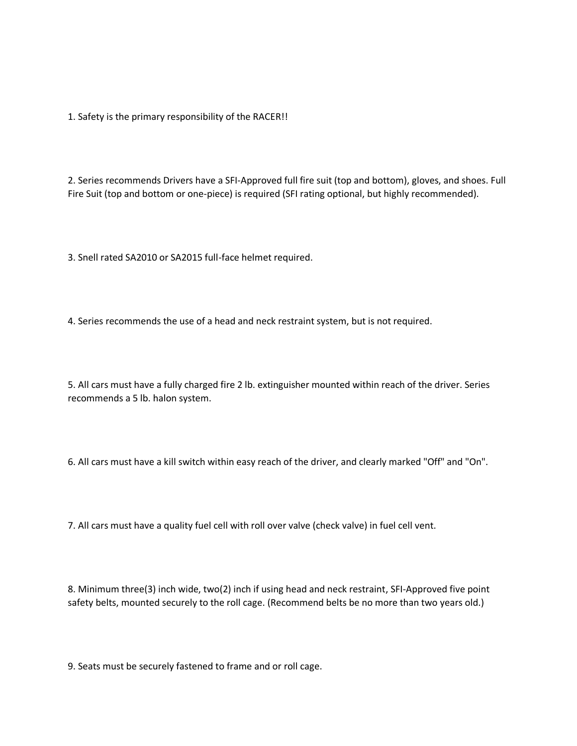1. Safety is the primary responsibility of the RACER!!

2. Series recommends Drivers have a SFI-Approved full fire suit (top and bottom), gloves, and shoes. Full Fire Suit (top and bottom or one-piece) is required (SFI rating optional, but highly recommended).

3. Snell rated SA2010 or SA2015 full-face helmet required.

4. Series recommends the use of a head and neck restraint system, but is not required.

5. All cars must have a fully charged fire 2 lb. extinguisher mounted within reach of the driver. Series recommends a 5 lb. halon system.

6. All cars must have a kill switch within easy reach of the driver, and clearly marked "Off" and "On".

7. All cars must have a quality fuel cell with roll over valve (check valve) in fuel cell vent.

8. Minimum three(3) inch wide, two(2) inch if using head and neck restraint, SFI-Approved five point safety belts, mounted securely to the roll cage. (Recommend belts be no more than two years old.)

9. Seats must be securely fastened to frame and or roll cage.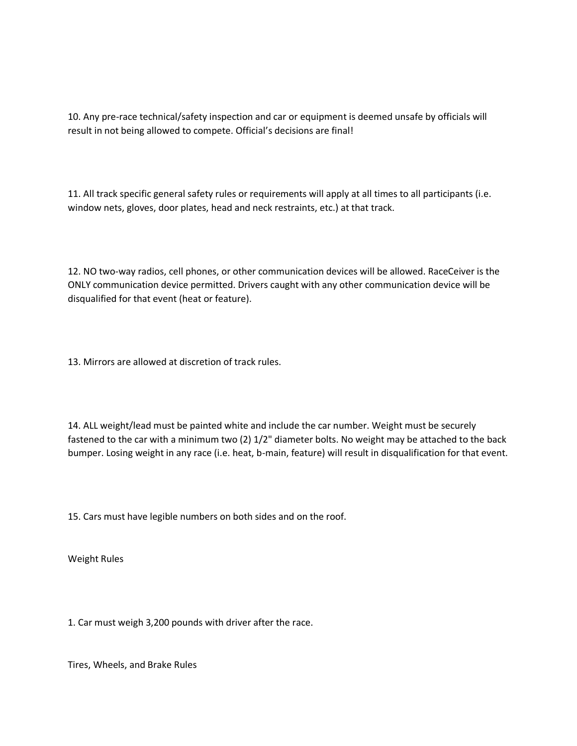10. Any pre-race technical/safety inspection and car or equipment is deemed unsafe by officials will result in not being allowed to compete. Official's decisions are final!

11. All track specific general safety rules or requirements will apply at all times to all participants (i.e. window nets, gloves, door plates, head and neck restraints, etc.) at that track.

12. NO two-way radios, cell phones, or other communication devices will be allowed. RaceCeiver is the ONLY communication device permitted. Drivers caught with any other communication device will be disqualified for that event (heat or feature).

13. Mirrors are allowed at discretion of track rules.

14. ALL weight/lead must be painted white and include the car number. Weight must be securely fastened to the car with a minimum two (2) 1/2" diameter bolts. No weight may be attached to the back bumper. Losing weight in any race (i.e. heat, b-main, feature) will result in disqualification for that event.

15. Cars must have legible numbers on both sides and on the roof.

Weight Rules

1. Car must weigh 3,200 pounds with driver after the race.

Tires, Wheels, and Brake Rules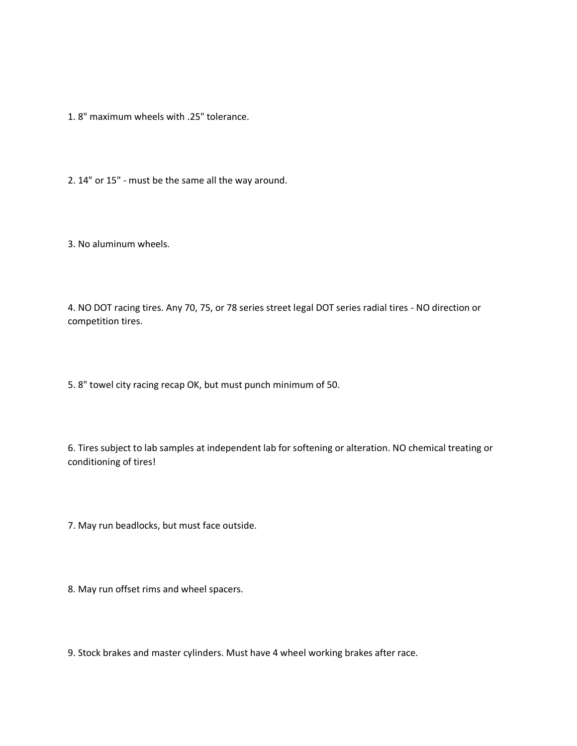1. 8" maximum wheels with .25" tolerance.

2. 14" or 15" - must be the same all the way around.

3. No aluminum wheels.

4. NO DOT racing tires. Any 70, 75, or 78 series street legal DOT series radial tires - NO direction or competition tires.

5. 8" towel city racing recap OK, but must punch minimum of 50.

6. Tires subject to lab samples at independent lab for softening or alteration. NO chemical treating or conditioning of tires!

7. May run beadlocks, but must face outside.

8. May run offset rims and wheel spacers.

9. Stock brakes and master cylinders. Must have 4 wheel working brakes after race.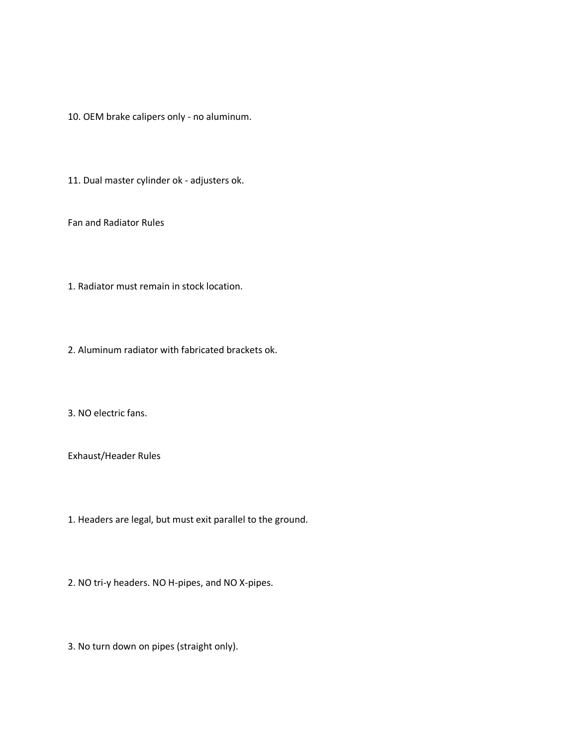10. OEM brake calipers only - no aluminum.

11. Dual master cylinder ok - adjusters ok.

Fan and Radiator Rules

1. Radiator must remain in stock location.

2. Aluminum radiator with fabricated brackets ok.

3. NO electric fans.

Exhaust/Header Rules

1. Headers are legal, but must exit parallel to the ground.

2. NO tri-y headers. NO H-pipes, and NO X-pipes.

3. No turn down on pipes (straight only).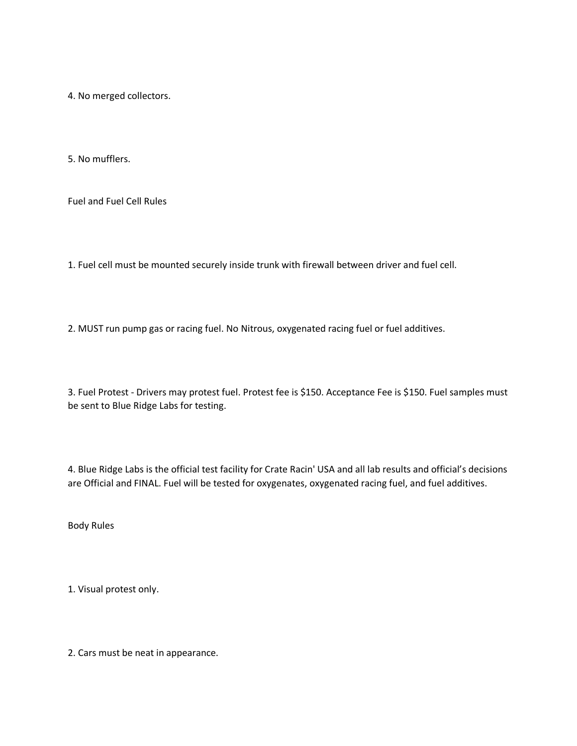4. No merged collectors.

5. No mufflers.

Fuel and Fuel Cell Rules

1. Fuel cell must be mounted securely inside trunk with firewall between driver and fuel cell.

2. MUST run pump gas or racing fuel. No Nitrous, oxygenated racing fuel or fuel additives.

3. Fuel Protest - Drivers may protest fuel. Protest fee is \$150. Acceptance Fee is \$150. Fuel samples must be sent to Blue Ridge Labs for testing.

4. Blue Ridge Labs is the official test facility for Crate Racin' USA and all lab results and official's decisions are Official and FINAL. Fuel will be tested for oxygenates, oxygenated racing fuel, and fuel additives.

Body Rules

1. Visual protest only.

2. Cars must be neat in appearance.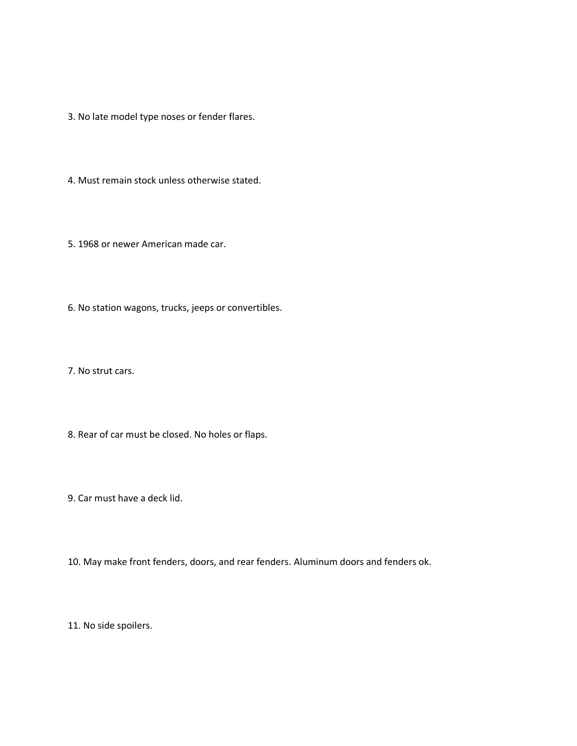3. No late model type noses or fender flares.

4. Must remain stock unless otherwise stated.

5. 1968 or newer American made car.

6. No station wagons, trucks, jeeps or convertibles.

7. No strut cars.

8. Rear of car must be closed. No holes or flaps.

9. Car must have a deck lid.

10. May make front fenders, doors, and rear fenders. Aluminum doors and fenders ok.

11. No side spoilers.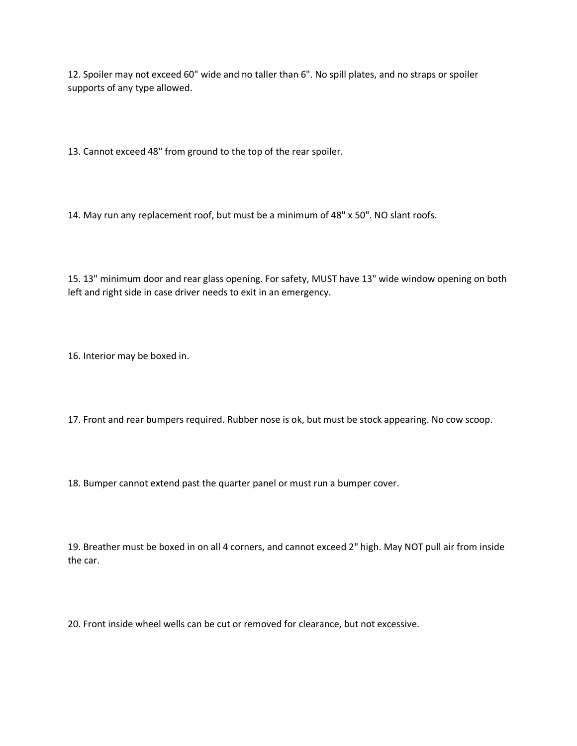12. Spoiler may not exceed 60" wide and no taller than 6". No spill plates, and no straps or spoiler supports of any type allowed.

13. Cannot exceed 48" from ground to the top of the rear spoiler.

14. May run any replacement roof, but must be a minimum of 48" x 50". NO slant roofs.

15. 13" minimum door and rear glass opening. For safety, MUST have 13" wide window opening on both left and right side in case driver needs to exit in an emergency.

16. Interior may be boxed in.

17. Front and rear bumpers required. Rubber nose is ok, but must be stock appearing. No cow scoop.

18. Bumper cannot extend past the quarter panel or must run a bumper cover.

19. Breather must be boxed in on all 4 corners, and cannot exceed 2" high. May NOT pull air from inside the car.

20. Front inside wheel wells can be cut or removed for clearance, but not excessive.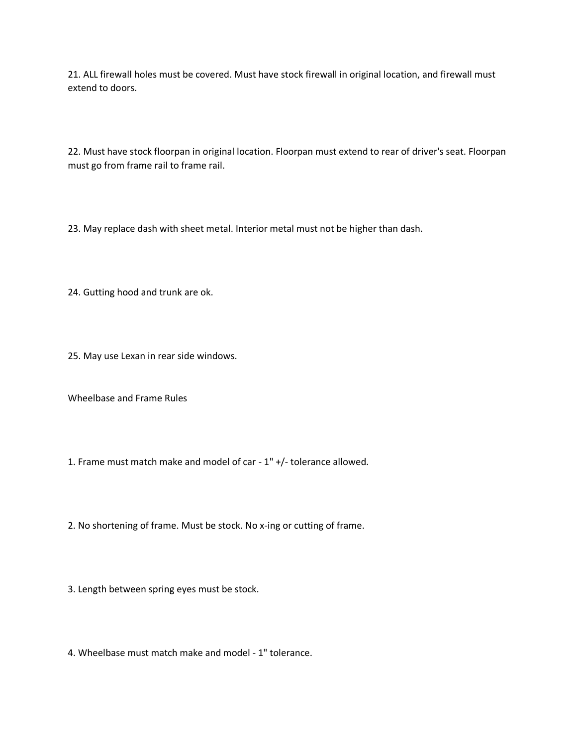21. ALL firewall holes must be covered. Must have stock firewall in original location, and firewall must extend to doors.

22. Must have stock floorpan in original location. Floorpan must extend to rear of driver's seat. Floorpan must go from frame rail to frame rail.

23. May replace dash with sheet metal. Interior metal must not be higher than dash.

24. Gutting hood and trunk are ok.

25. May use Lexan in rear side windows.

Wheelbase and Frame Rules

1. Frame must match make and model of car - 1" +/- tolerance allowed.

2. No shortening of frame. Must be stock. No x-ing or cutting of frame.

3. Length between spring eyes must be stock.

4. Wheelbase must match make and model - 1" tolerance.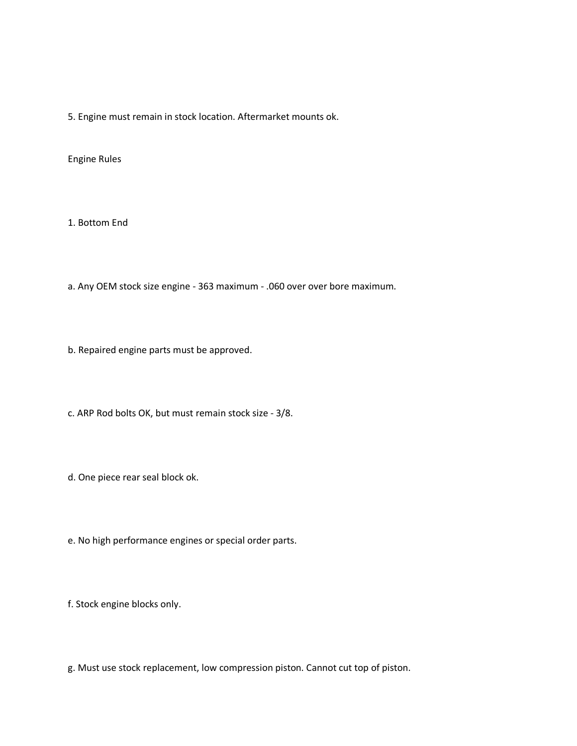5. Engine must remain in stock location. Aftermarket mounts ok.

Engine Rules

1. Bottom End

a. Any OEM stock size engine - 363 maximum - .060 over over bore maximum.

b. Repaired engine parts must be approved.

c. ARP Rod bolts OK, but must remain stock size - 3/8.

d. One piece rear seal block ok.

e. No high performance engines or special order parts.

f. Stock engine blocks only.

g. Must use stock replacement, low compression piston. Cannot cut top of piston.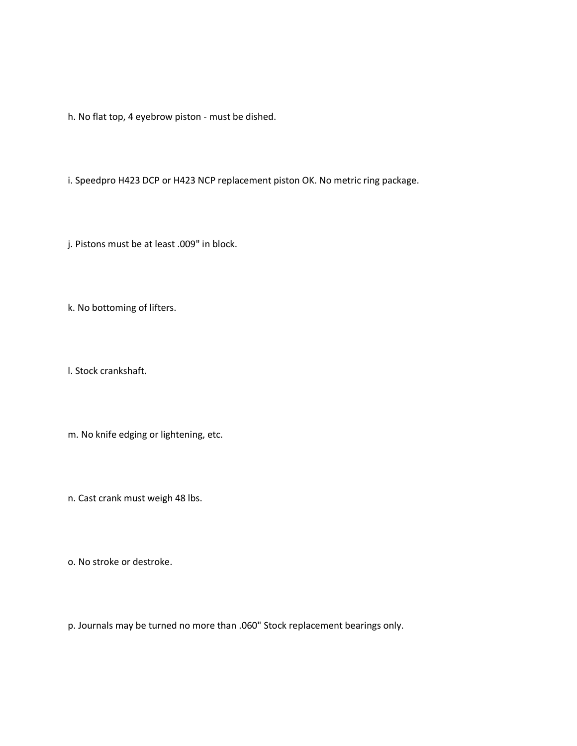h. No flat top, 4 eyebrow piston - must be dished.

i. Speedpro H423 DCP or H423 NCP replacement piston OK. No metric ring package.

j. Pistons must be at least .009" in block.

k. No bottoming of lifters.

l. Stock crankshaft.

m. No knife edging or lightening, etc.

n. Cast crank must weigh 48 lbs.

o. No stroke or destroke.

p. Journals may be turned no more than .060" Stock replacement bearings only.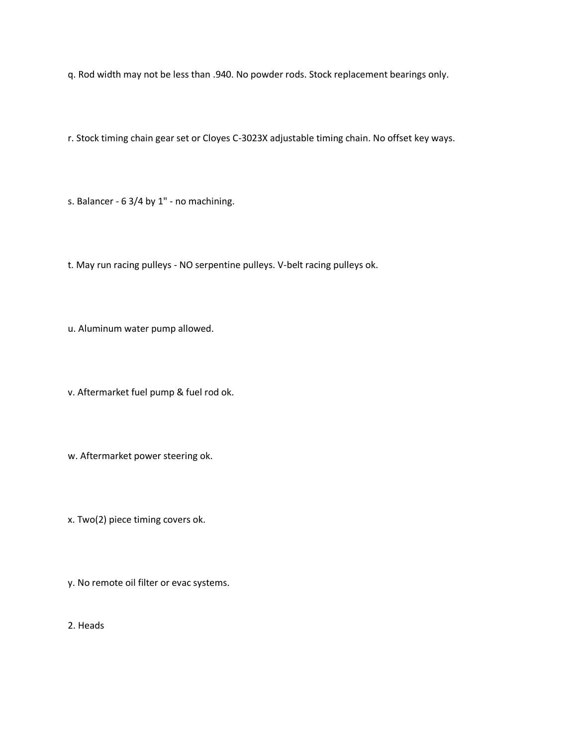q. Rod width may not be less than .940. No powder rods. Stock replacement bearings only.

r. Stock timing chain gear set or Cloyes C-3023X adjustable timing chain. No offset key ways.

s. Balancer - 6 3/4 by 1" - no machining.

t. May run racing pulleys - NO serpentine pulleys. V-belt racing pulleys ok.

u. Aluminum water pump allowed.

v. Aftermarket fuel pump & fuel rod ok.

w. Aftermarket power steering ok.

x. Two(2) piece timing covers ok.

y. No remote oil filter or evac systems.

2. Heads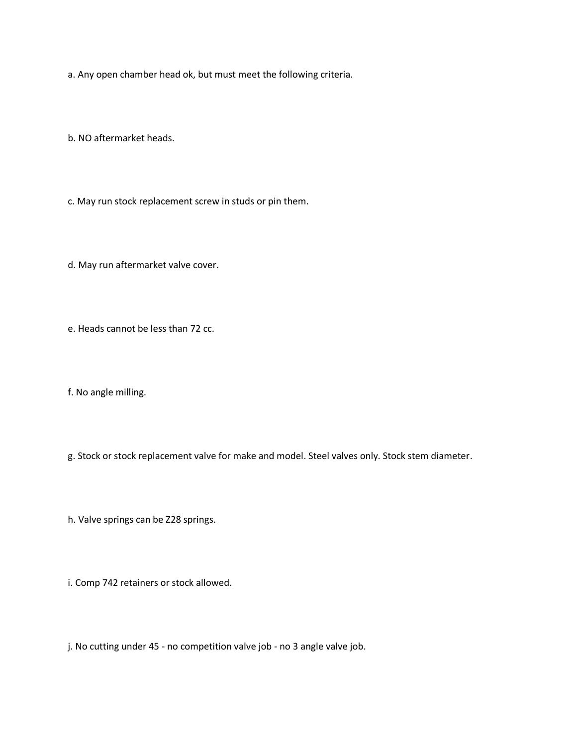a. Any open chamber head ok, but must meet the following criteria.

b. NO aftermarket heads.

c. May run stock replacement screw in studs or pin them.

d. May run aftermarket valve cover.

e. Heads cannot be less than 72 cc.

f. No angle milling.

g. Stock or stock replacement valve for make and model. Steel valves only. Stock stem diameter.

h. Valve springs can be Z28 springs.

i. Comp 742 retainers or stock allowed.

j. No cutting under 45 - no competition valve job - no 3 angle valve job.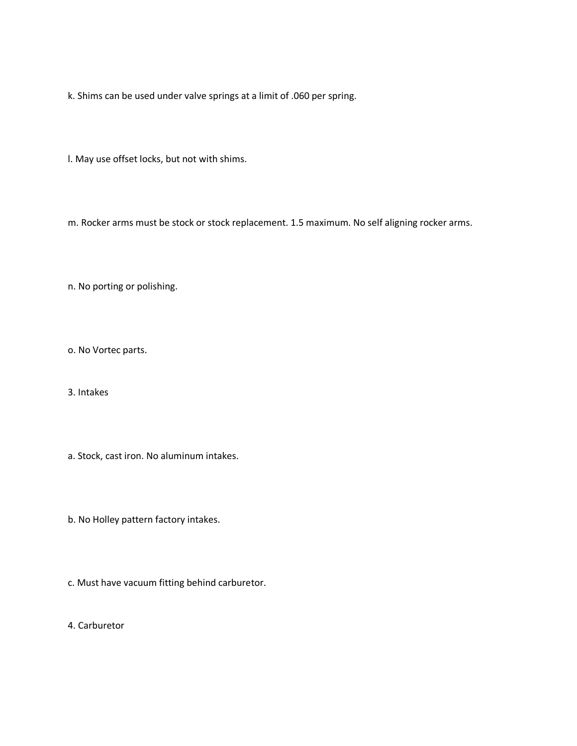k. Shims can be used under valve springs at a limit of .060 per spring.

l. May use offset locks, but not with shims.

m. Rocker arms must be stock or stock replacement. 1.5 maximum. No self aligning rocker arms.

n. No porting or polishing.

o. No Vortec parts.

3. Intakes

- a. Stock, cast iron. No aluminum intakes.
- b. No Holley pattern factory intakes.
- c. Must have vacuum fitting behind carburetor.

4. Carburetor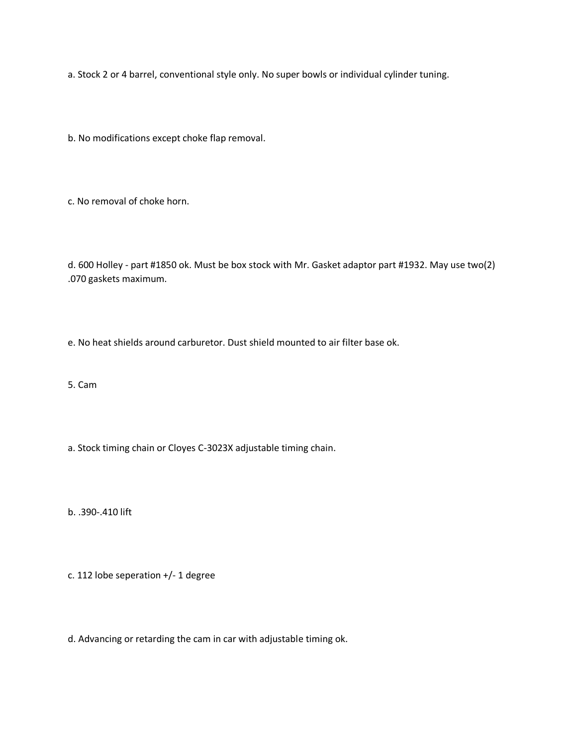a. Stock 2 or 4 barrel, conventional style only. No super bowls or individual cylinder tuning.

b. No modifications except choke flap removal.

c. No removal of choke horn.

d. 600 Holley - part #1850 ok. Must be box stock with Mr. Gasket adaptor part #1932. May use two(2) .070 gaskets maximum.

e. No heat shields around carburetor. Dust shield mounted to air filter base ok.

5. Cam

a. Stock timing chain or Cloyes C-3023X adjustable timing chain.

b. .390-.410 lift

c. 112 lobe seperation +/- 1 degree

d. Advancing or retarding the cam in car with adjustable timing ok.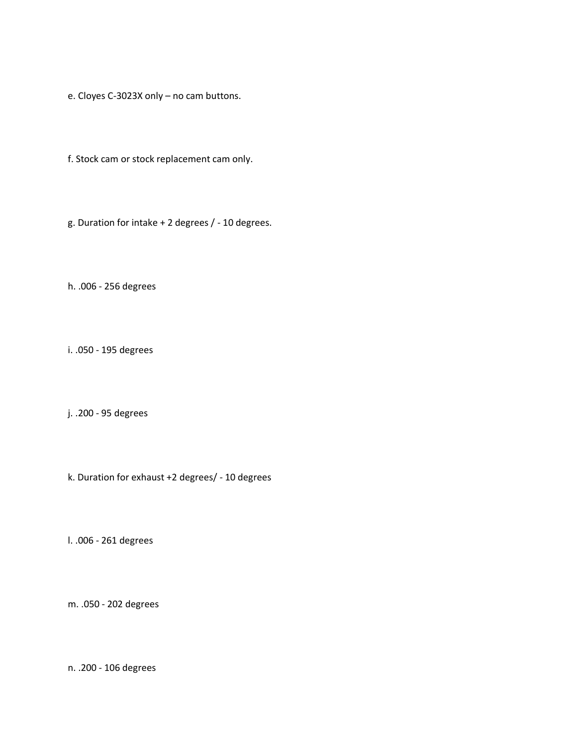- e. Cloyes C-3023X only no cam buttons.
- f. Stock cam or stock replacement cam only.
- g. Duration for intake + 2 degrees / 10 degrees.

h. .006 - 256 degrees

i. .050 - 195 degrees

j. .200 - 95 degrees

k. Duration for exhaust +2 degrees/ - 10 degrees

l. .006 - 261 degrees

m. .050 - 202 degrees

n. .200 - 106 degrees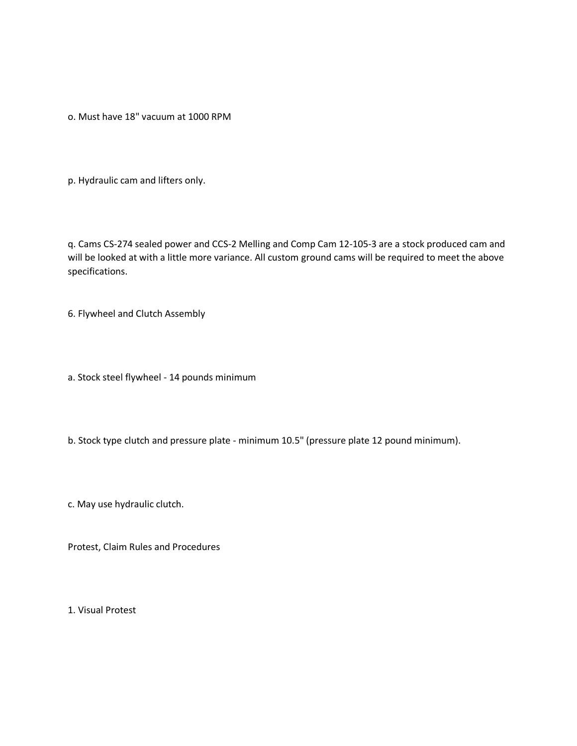o. Must have 18" vacuum at 1000 RPM

p. Hydraulic cam and lifters only.

q. Cams CS-274 sealed power and CCS-2 Melling and Comp Cam 12-105-3 are a stock produced cam and will be looked at with a little more variance. All custom ground cams will be required to meet the above specifications.

6. Flywheel and Clutch Assembly

a. Stock steel flywheel - 14 pounds minimum

b. Stock type clutch and pressure plate - minimum 10.5" (pressure plate 12 pound minimum).

c. May use hydraulic clutch.

Protest, Claim Rules and Procedures

1. Visual Protest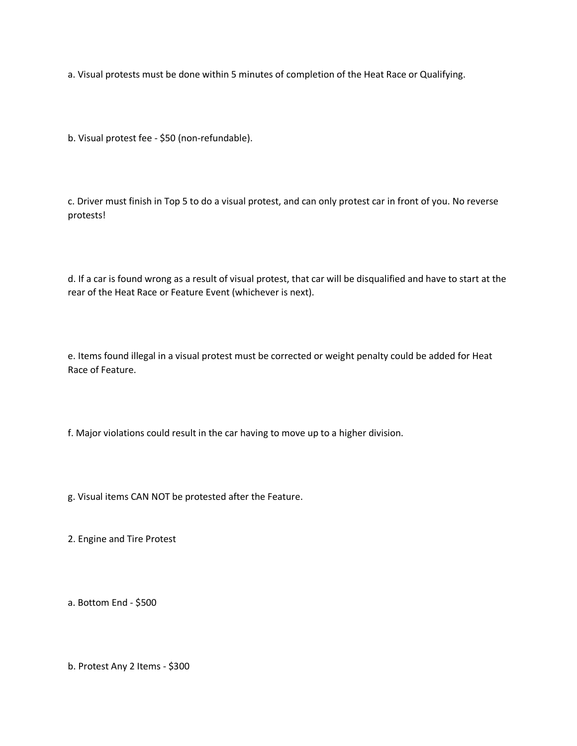a. Visual protests must be done within 5 minutes of completion of the Heat Race or Qualifying.

b. Visual protest fee - \$50 (non-refundable).

c. Driver must finish in Top 5 to do a visual protest, and can only protest car in front of you. No reverse protests!

d. If a car is found wrong as a result of visual protest, that car will be disqualified and have to start at the rear of the Heat Race or Feature Event (whichever is next).

e. Items found illegal in a visual protest must be corrected or weight penalty could be added for Heat Race of Feature.

f. Major violations could result in the car having to move up to a higher division.

g. Visual items CAN NOT be protested after the Feature.

2. Engine and Tire Protest

a. Bottom End - \$500

b. Protest Any 2 Items - \$300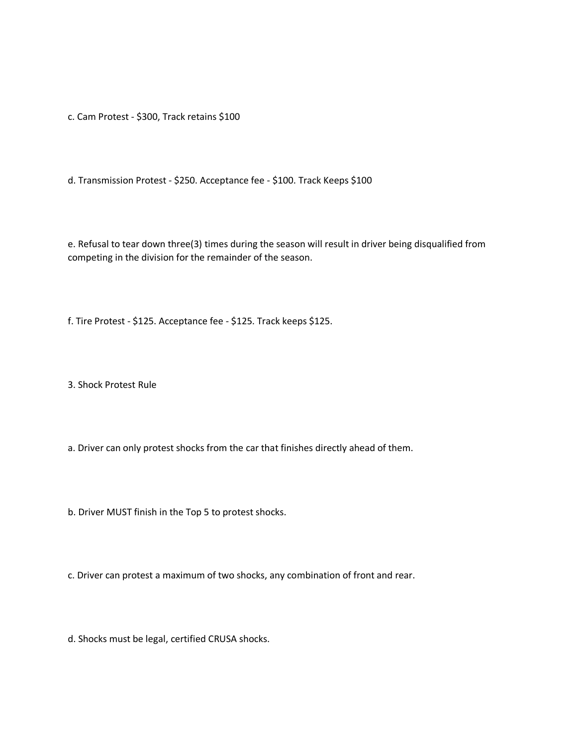c. Cam Protest - \$300, Track retains \$100

d. Transmission Protest - \$250. Acceptance fee - \$100. Track Keeps \$100

e. Refusal to tear down three(3) times during the season will result in driver being disqualified from competing in the division for the remainder of the season.

f. Tire Protest - \$125. Acceptance fee - \$125. Track keeps \$125.

3. Shock Protest Rule

a. Driver can only protest shocks from the car that finishes directly ahead of them.

b. Driver MUST finish in the Top 5 to protest shocks.

c. Driver can protest a maximum of two shocks, any combination of front and rear.

d. Shocks must be legal, certified CRUSA shocks.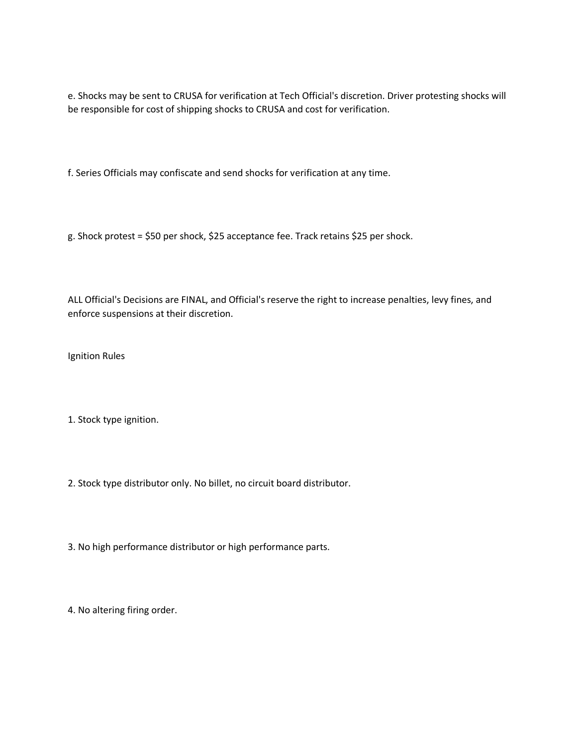e. Shocks may be sent to CRUSA for verification at Tech Official's discretion. Driver protesting shocks will be responsible for cost of shipping shocks to CRUSA and cost for verification.

f. Series Officials may confiscate and send shocks for verification at any time.

g. Shock protest = \$50 per shock, \$25 acceptance fee. Track retains \$25 per shock.

ALL Official's Decisions are FINAL, and Official's reserve the right to increase penalties, levy fines, and enforce suspensions at their discretion.

Ignition Rules

1. Stock type ignition.

- 2. Stock type distributor only. No billet, no circuit board distributor.
- 3. No high performance distributor or high performance parts.

4. No altering firing order.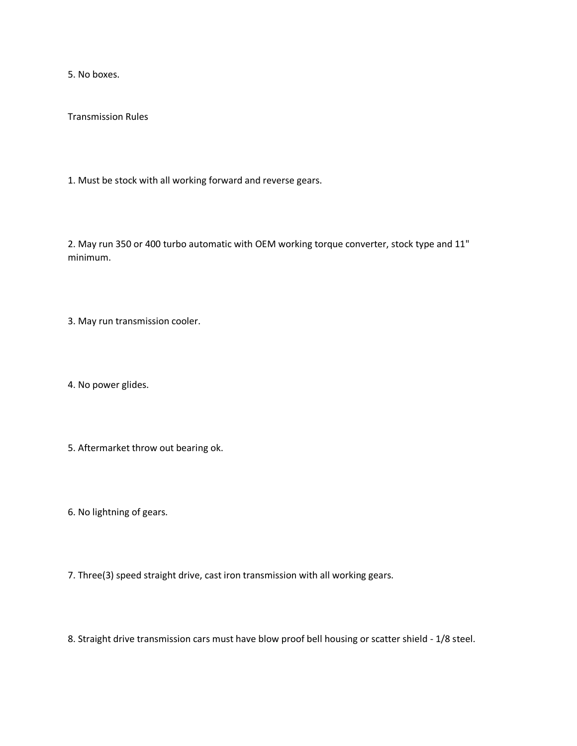5. No boxes.

Transmission Rules

1. Must be stock with all working forward and reverse gears.

2. May run 350 or 400 turbo automatic with OEM working torque converter, stock type and 11" minimum.

3. May run transmission cooler.

4. No power glides.

5. Aftermarket throw out bearing ok.

6. No lightning of gears.

7. Three(3) speed straight drive, cast iron transmission with all working gears.

8. Straight drive transmission cars must have blow proof bell housing or scatter shield - 1/8 steel.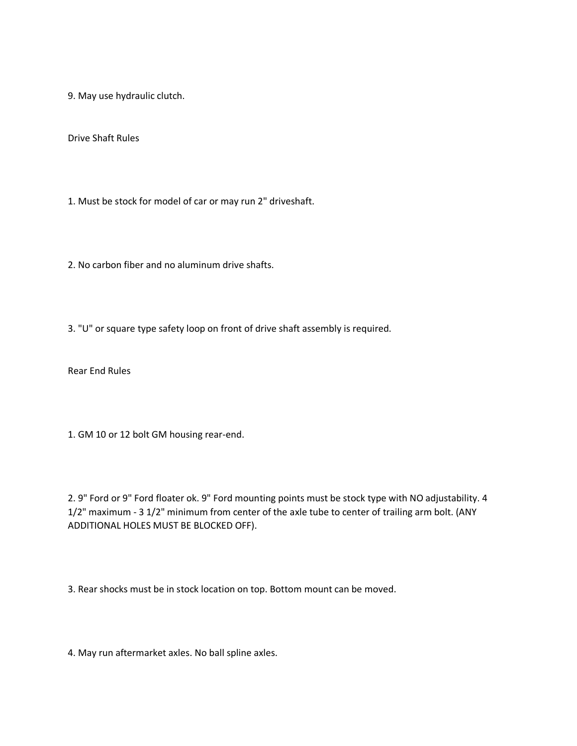9. May use hydraulic clutch.

Drive Shaft Rules

1. Must be stock for model of car or may run 2" driveshaft.

2. No carbon fiber and no aluminum drive shafts.

3. "U" or square type safety loop on front of drive shaft assembly is required.

Rear End Rules

1. GM 10 or 12 bolt GM housing rear-end.

2. 9" Ford or 9" Ford floater ok. 9" Ford mounting points must be stock type with NO adjustability. 4 1/2" maximum - 3 1/2" minimum from center of the axle tube to center of trailing arm bolt. (ANY ADDITIONAL HOLES MUST BE BLOCKED OFF).

3. Rear shocks must be in stock location on top. Bottom mount can be moved.

4. May run aftermarket axles. No ball spline axles.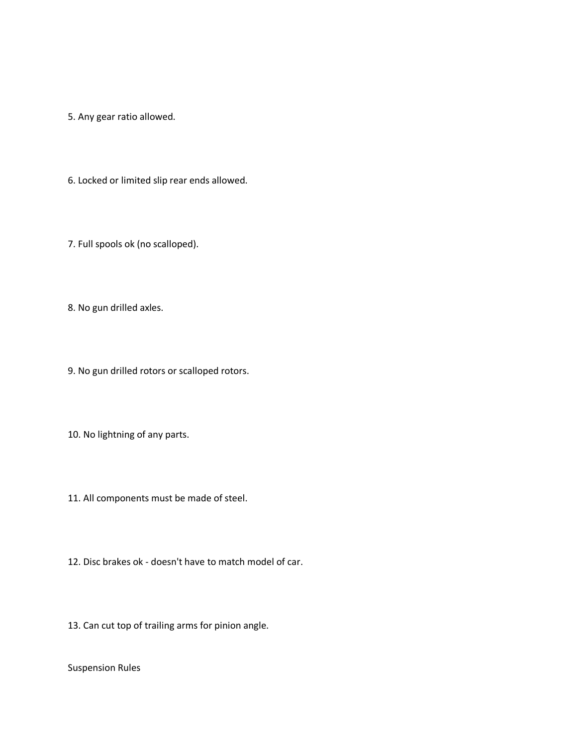5. Any gear ratio allowed.

6. Locked or limited slip rear ends allowed.

7. Full spools ok (no scalloped).

8. No gun drilled axles.

9. No gun drilled rotors or scalloped rotors.

10. No lightning of any parts.

11. All components must be made of steel.

12. Disc brakes ok - doesn't have to match model of car.

13. Can cut top of trailing arms for pinion angle.

Suspension Rules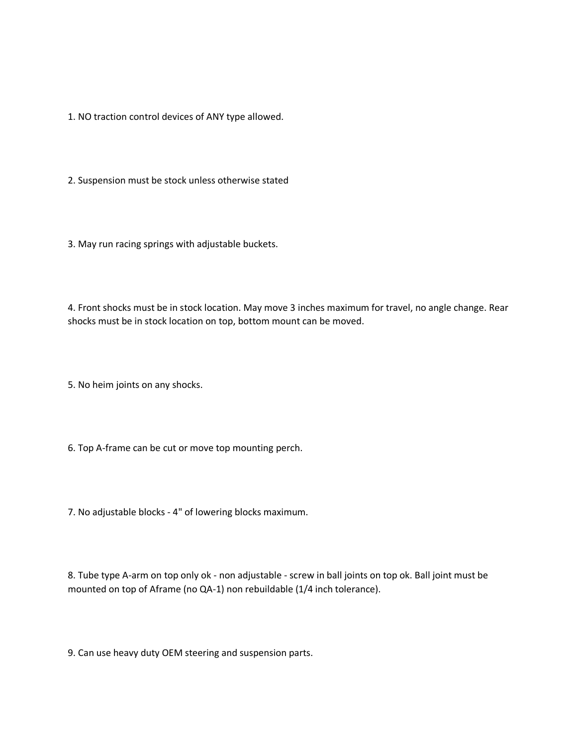1. NO traction control devices of ANY type allowed.

2. Suspension must be stock unless otherwise stated

3. May run racing springs with adjustable buckets.

4. Front shocks must be in stock location. May move 3 inches maximum for travel, no angle change. Rear shocks must be in stock location on top, bottom mount can be moved.

5. No heim joints on any shocks.

6. Top A-frame can be cut or move top mounting perch.

7. No adjustable blocks - 4" of lowering blocks maximum.

8. Tube type A-arm on top only ok - non adjustable - screw in ball joints on top ok. Ball joint must be mounted on top of Aframe (no QA-1) non rebuildable (1/4 inch tolerance).

9. Can use heavy duty OEM steering and suspension parts.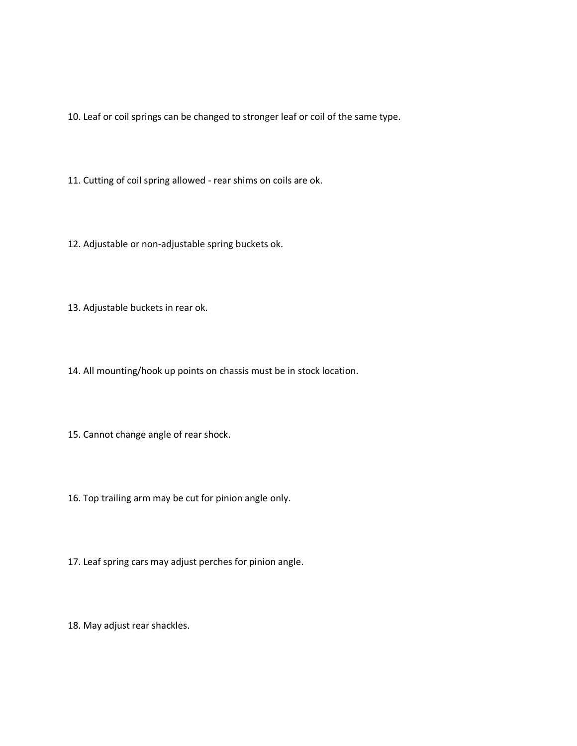10. Leaf or coil springs can be changed to stronger leaf or coil of the same type.

11. Cutting of coil spring allowed - rear shims on coils are ok.

12. Adjustable or non-adjustable spring buckets ok.

13. Adjustable buckets in rear ok.

14. All mounting/hook up points on chassis must be in stock location.

15. Cannot change angle of rear shock.

16. Top trailing arm may be cut for pinion angle only.

17. Leaf spring cars may adjust perches for pinion angle.

18. May adjust rear shackles.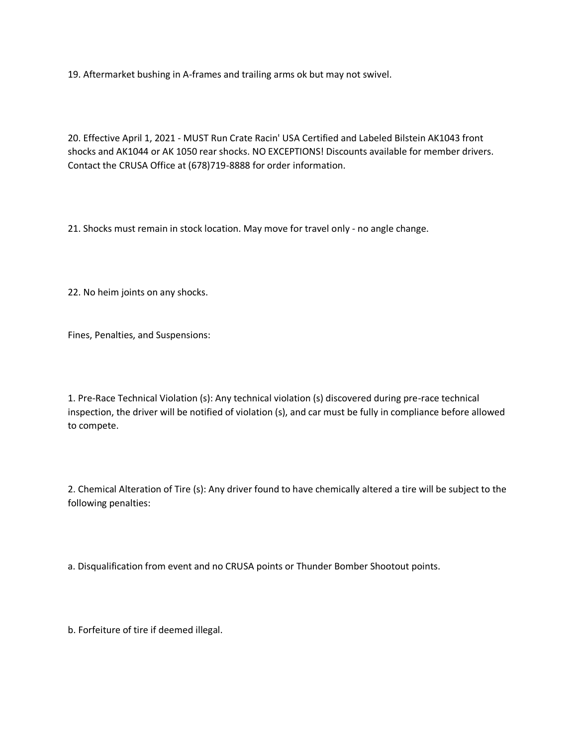19. Aftermarket bushing in A-frames and trailing arms ok but may not swivel.

20. Effective April 1, 2021 - MUST Run Crate Racin' USA Certified and Labeled Bilstein AK1043 front shocks and AK1044 or AK 1050 rear shocks. NO EXCEPTIONS! Discounts available for member drivers. Contact the CRUSA Office at (678)719-8888 for order information.

21. Shocks must remain in stock location. May move for travel only - no angle change.

22. No heim joints on any shocks.

Fines, Penalties, and Suspensions:

1. Pre-Race Technical Violation (s): Any technical violation (s) discovered during pre-race technical inspection, the driver will be notified of violation (s), and car must be fully in compliance before allowed to compete.

2. Chemical Alteration of Tire (s): Any driver found to have chemically altered a tire will be subject to the following penalties:

a. Disqualification from event and no CRUSA points or Thunder Bomber Shootout points.

b. Forfeiture of tire if deemed illegal.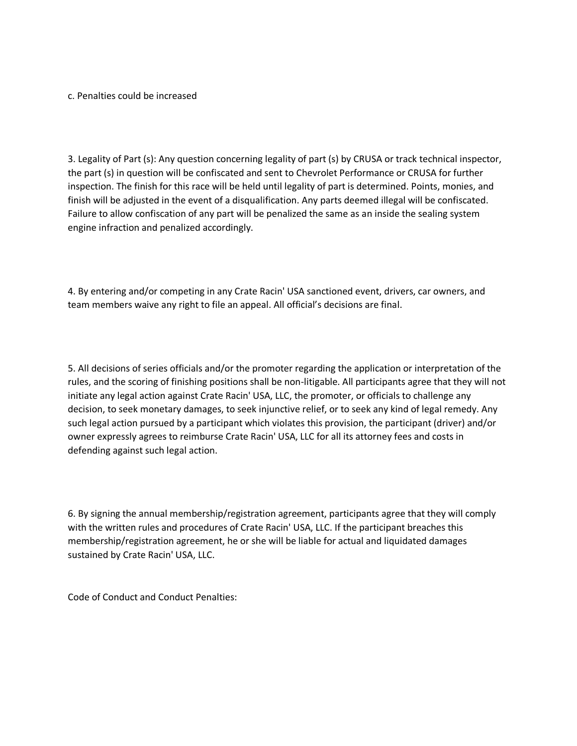c. Penalties could be increased

3. Legality of Part (s): Any question concerning legality of part (s) by CRUSA or track technical inspector, the part (s) in question will be confiscated and sent to Chevrolet Performance or CRUSA for further inspection. The finish for this race will be held until legality of part is determined. Points, monies, and finish will be adjusted in the event of a disqualification. Any parts deemed illegal will be confiscated. Failure to allow confiscation of any part will be penalized the same as an inside the sealing system engine infraction and penalized accordingly.

4. By entering and/or competing in any Crate Racin' USA sanctioned event, drivers, car owners, and team members waive any right to file an appeal. All official's decisions are final.

5. All decisions of series officials and/or the promoter regarding the application or interpretation of the rules, and the scoring of finishing positions shall be non-litigable. All participants agree that they will not initiate any legal action against Crate Racin' USA, LLC, the promoter, or officials to challenge any decision, to seek monetary damages, to seek injunctive relief, or to seek any kind of legal remedy. Any such legal action pursued by a participant which violates this provision, the participant (driver) and/or owner expressly agrees to reimburse Crate Racin' USA, LLC for all its attorney fees and costs in defending against such legal action.

6. By signing the annual membership/registration agreement, participants agree that they will comply with the written rules and procedures of Crate Racin' USA, LLC. If the participant breaches this membership/registration agreement, he or she will be liable for actual and liquidated damages sustained by Crate Racin' USA, LLC.

Code of Conduct and Conduct Penalties: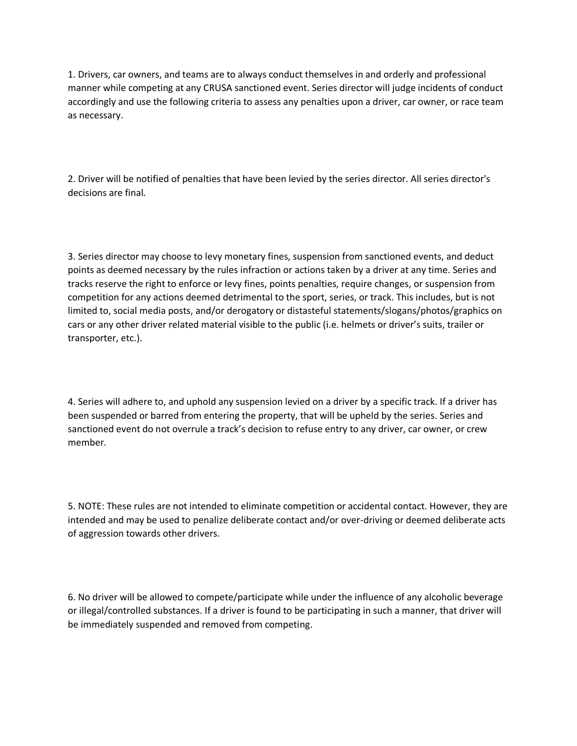1. Drivers, car owners, and teams are to always conduct themselves in and orderly and professional manner while competing at any CRUSA sanctioned event. Series director will judge incidents of conduct accordingly and use the following criteria to assess any penalties upon a driver, car owner, or race team as necessary.

2. Driver will be notified of penalties that have been levied by the series director. All series director's decisions are final.

3. Series director may choose to levy monetary fines, suspension from sanctioned events, and deduct points as deemed necessary by the rules infraction or actions taken by a driver at any time. Series and tracks reserve the right to enforce or levy fines, points penalties, require changes, or suspension from competition for any actions deemed detrimental to the sport, series, or track. This includes, but is not limited to, social media posts, and/or derogatory or distasteful statements/slogans/photos/graphics on cars or any other driver related material visible to the public (i.e. helmets or driver's suits, trailer or transporter, etc.).

4. Series will adhere to, and uphold any suspension levied on a driver by a specific track. If a driver has been suspended or barred from entering the property, that will be upheld by the series. Series and sanctioned event do not overrule a track's decision to refuse entry to any driver, car owner, or crew member.

5. NOTE: These rules are not intended to eliminate competition or accidental contact. However, they are intended and may be used to penalize deliberate contact and/or over-driving or deemed deliberate acts of aggression towards other drivers.

6. No driver will be allowed to compete/participate while under the influence of any alcoholic beverage or illegal/controlled substances. If a driver is found to be participating in such a manner, that driver will be immediately suspended and removed from competing.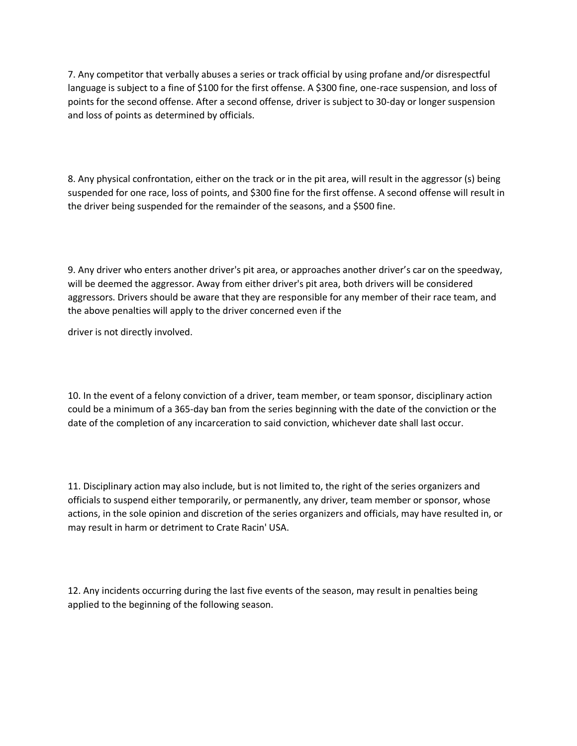7. Any competitor that verbally abuses a series or track official by using profane and/or disrespectful language is subject to a fine of \$100 for the first offense. A \$300 fine, one-race suspension, and loss of points for the second offense. After a second offense, driver is subject to 30-day or longer suspension and loss of points as determined by officials.

8. Any physical confrontation, either on the track or in the pit area, will result in the aggressor (s) being suspended for one race, loss of points, and \$300 fine for the first offense. A second offense will result in the driver being suspended for the remainder of the seasons, and a \$500 fine.

9. Any driver who enters another driver's pit area, or approaches another driver's car on the speedway, will be deemed the aggressor. Away from either driver's pit area, both drivers will be considered aggressors. Drivers should be aware that they are responsible for any member of their race team, and the above penalties will apply to the driver concerned even if the

driver is not directly involved.

10. In the event of a felony conviction of a driver, team member, or team sponsor, disciplinary action could be a minimum of a 365-day ban from the series beginning with the date of the conviction or the date of the completion of any incarceration to said conviction, whichever date shall last occur.

11. Disciplinary action may also include, but is not limited to, the right of the series organizers and officials to suspend either temporarily, or permanently, any driver, team member or sponsor, whose actions, in the sole opinion and discretion of the series organizers and officials, may have resulted in, or may result in harm or detriment to Crate Racin' USA.

12. Any incidents occurring during the last five events of the season, may result in penalties being applied to the beginning of the following season.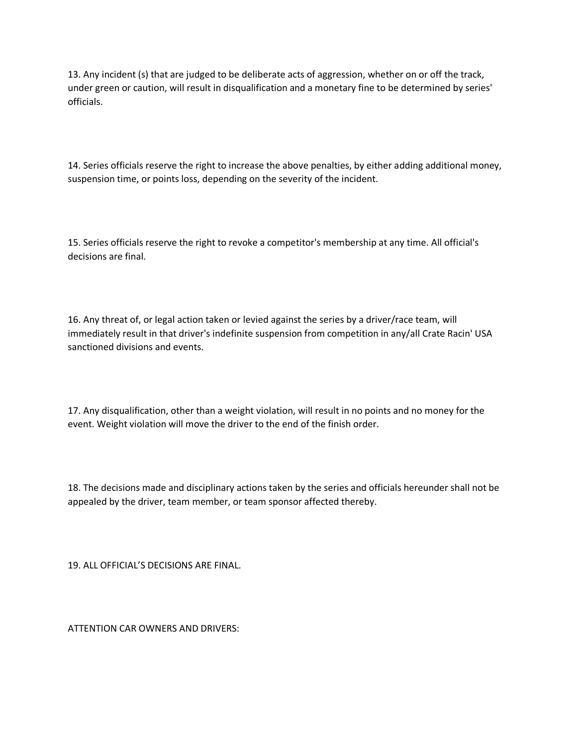13. Any incident (s) that are judged to be deliberate acts of aggression, whether on or off the track, under green or caution, will result in disqualification and a monetary fine to be determined by series' officials.

14. Series officials reserve the right to increase the above penalties, by either adding additional money, suspension time, or points loss, depending on the severity of the incident.

15. Series officials reserve the right to revoke a competitor's membership at any time. All official's decisions are final.

16. Any threat of, or legal action taken or levied against the series by a driver/race team, will immediately result in that driver's indefinite suspension from competition in any/all Crate Racin' USA sanctioned divisions and events.

17. Any disqualification, other than a weight violation, will result in no points and no money for the event. Weight violation will move the driver to the end of the finish order.

18. The decisions made and disciplinary actions taken by the series and officials hereunder shall not be appealed by the driver, team member, or team sponsor affected thereby.

19. ALL OFFICIAL'S DECISIONS ARE FINAL.

ATTENTION CAR OWNERS AND DRIVERS: